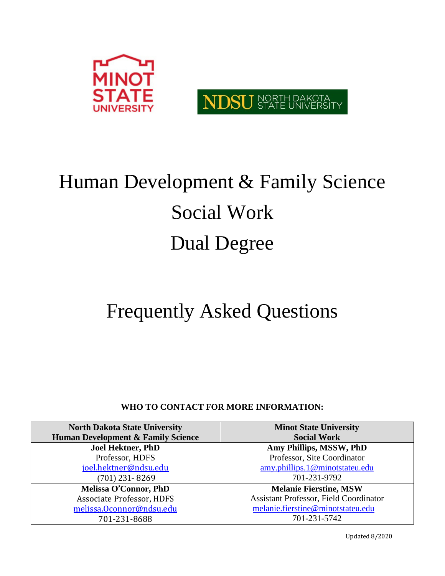



# Human Development & Family Science Social Work Dual Degree

## Frequently Asked Questions

**WHO TO CONTACT FOR MORE INFORMATION:**

| <b>North Dakota State University</b>          | <b>Minot State University</b>                 |  |  |  |  |  |
|-----------------------------------------------|-----------------------------------------------|--|--|--|--|--|
| <b>Human Development &amp; Family Science</b> | <b>Social Work</b>                            |  |  |  |  |  |
| <b>Joel Hektner, PhD</b>                      | Amy Phillips, MSSW, PhD                       |  |  |  |  |  |
| Professor, HDFS                               | Professor, Site Coordinator                   |  |  |  |  |  |
| joel.hektner@ndsu.edu                         | amy.phillips.1@minotstateu.edu                |  |  |  |  |  |
| $(701)$ 231-8269                              | 701-231-9792                                  |  |  |  |  |  |
| <b>Melissa O'Connor, PhD</b>                  | <b>Melanie Fierstine, MSW</b>                 |  |  |  |  |  |
| Associate Professor, HDFS                     | <b>Assistant Professor, Field Coordinator</b> |  |  |  |  |  |
| melissa. Oconnor@ndsu.edu                     | melanie.fierstine@minotstateu.edu             |  |  |  |  |  |
| 701-231-8688                                  | 701-231-5742                                  |  |  |  |  |  |

Updated 8/2020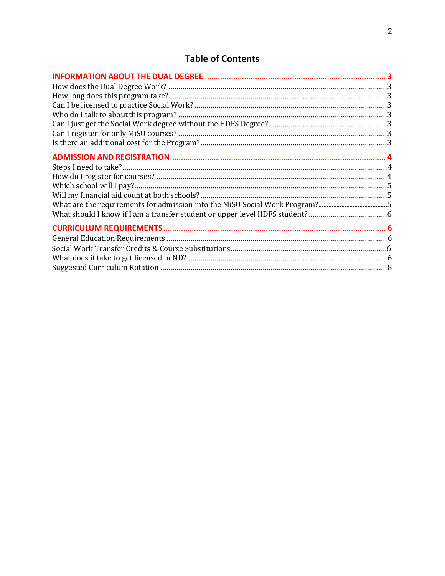### **Table of Contents**

| What are the requirements for admission into the MiSU Social Work Program?5 |  |
|-----------------------------------------------------------------------------|--|
|                                                                             |  |
|                                                                             |  |
|                                                                             |  |
|                                                                             |  |
|                                                                             |  |
|                                                                             |  |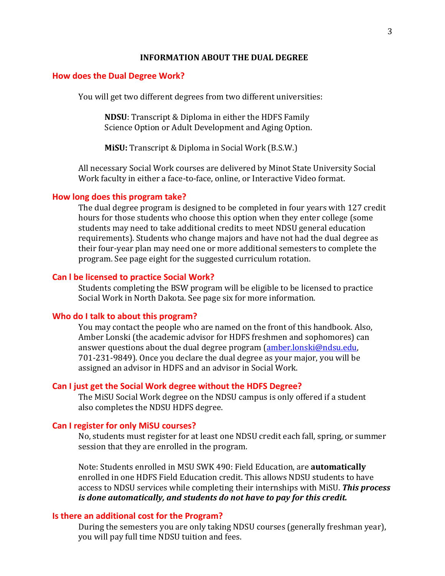#### **INFORMATION ABOUT THE DUAL DEGREE**

#### <span id="page-2-1"></span><span id="page-2-0"></span>**How does the Dual Degree Work?**

You will get two different degrees from two different universities:

**NDSU**: Transcript & Diploma in either the HDFS Family Science Option or Adult Development and Aging Option.

**MiSU:** Transcript & Diploma in Social Work (B.S.W.)

All necessary Social Work courses are delivered by Minot State University Social Work faculty in either a face-to-face, online, or Interactive Video format.

#### <span id="page-2-2"></span>**How long does this program take?**

The dual degree program is designed to be completed in four years with 127 credit hours for those students who choose this option when they enter college (some students may need to take additional credits to meet NDSU general education requirements). Students who change majors and have not had the dual degree as their four-year plan may need one or more additional semesters to complete the program. See page eight for the suggested curriculum rotation.

#### <span id="page-2-3"></span>**Can l be licensed to practice Social Work?**

Students completing the BSW program will be eligible to be licensed to practice Social Work in North Dakota. See page six for more information.

#### <span id="page-2-4"></span>**Who do I talk to about this program?**

You may contact the people who are named on the front of this handbook. Also, Amber Lonski (the academic advisor for HDFS freshmen and sophomores) can answer questions about the dual degree program [\(amber.lonski@ndsu.edu,](mailto:(amber.lonski@ndsu.edu) 701-231-9849). Once you declare the dual degree as your major, you will be assigned an advisor in HDFS and an advisor in Social Work.

#### <span id="page-2-5"></span>**Can I just get the Social Work degree without the HDFS Degree?**

The MiSU Social Work degree on the NDSU campus is only offered if a student also completes the NDSU HDFS degree.

#### <span id="page-2-6"></span>**Can I register for only MiSU courses?**

No, students must register for at least one NDSU credit each fall, spring, or summer session that they are enrolled in the program.

Note: Students enrolled in MSU SWK 490: Field Education, are **automatically**  enrolled in one HDFS Field Education credit. This allows NDSU students to have access to NDSU services while completing their internships with MiSU. *This process is done automatically, and students do not have to pay for this credit.*

#### <span id="page-2-7"></span>**Is there an additional cost for the Program?**

During the semesters you are only taking NDSU courses (generally freshman year), you will pay full time NDSU tuition and fees.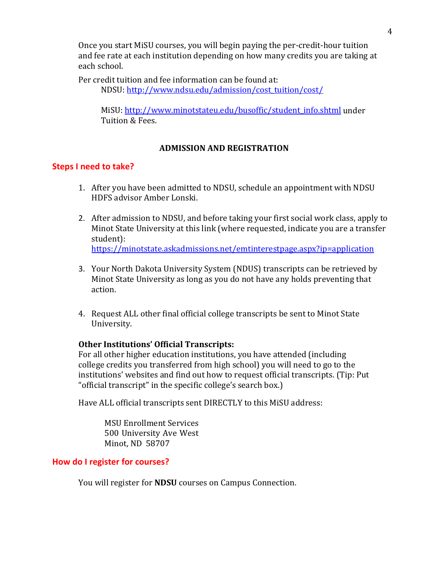Once you start MiSU courses, you will begin paying the per-credit-hour tuition and fee rate at each institution depending on how many credits you are taking at each school.

Per credit tuition and fee information can be found at: NDSU[: http://www.ndsu.edu/admission/cost\\_tuition/cost/](http://www.ndsu.edu/admission/cost_tuition/cost/)

MiSU[: http://www.minotstateu.edu/busoffic/student\\_info.shtml](http://www.minotstateu.edu/busoffic/student_info.shtml%20,) under Tuition & Fees.

#### **ADMISSION AND REGISTRATION**

#### <span id="page-3-1"></span><span id="page-3-0"></span>**Steps I need to take?**

- 1. After you have been admitted to NDSU, schedule an appointment with NDSU HDFS advisor Amber Lonski.
- 2. After admission to NDSU, and before taking your first social work class, apply to Minot State University at this link (where requested, indicate you are a transfer student): <https://minotstate.askadmissions.net/emtinterestpage.aspx?ip=application>
- 3. Your North Dakota University System (NDUS) transcripts can be retrieved by Minot State University as long as you do not have any holds preventing that action.
- 4. Request ALL other final official college transcripts be sent to Minot State University.

#### **Other Institutions' Official Transcripts:**

For all other higher education institutions, you have attended (including college credits you transferred from high school) you will need to go to the institutions' websites and find out how to request official transcripts. (Tip: Put "official transcript" in the specific college's search box.)

Have ALL official transcripts sent DIRECTLY to this MiSU address:

MSU Enrollment Services 500 University Ave West Minot, ND 58707

#### <span id="page-3-2"></span>**How do I register for courses?**

You will register for **NDSU** courses on Campus Connection.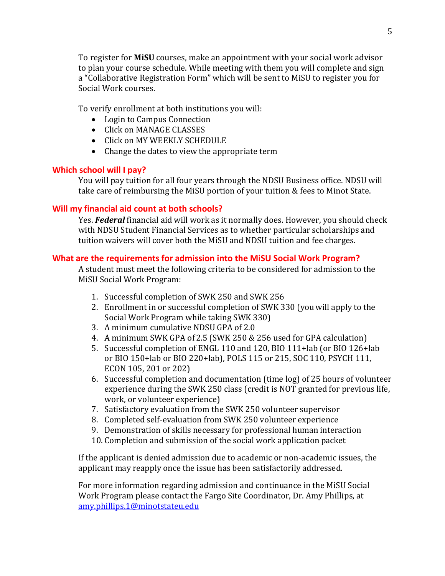To register for **MiSU** courses, make an appointment with your social work advisor to plan your course schedule. While meeting with them you will complete and sign a "Collaborative Registration Form" which will be sent to MiSU to register you for Social Work courses.

To verify enrollment at both institutions you will:

- Login to Campus Connection
- Click on MANAGE CLASSES
- Click on MY WEEKLY SCHEDULE
- Change the dates to view the appropriate term

#### <span id="page-4-0"></span>**Which school will I pay?**

You will pay tuition for all four years through the NDSU Business office. NDSU will take care of reimbursing the MiSU portion of your tuition & fees to Minot State.

#### <span id="page-4-1"></span>**Will my financial aid count at both schools?**

Yes. *Federal* financial aid will work as it normally does. However, you should check with NDSU Student Financial Services as to whether particular scholarships and tuition waivers will cover both the MiSU and NDSU tuition and fee charges.

#### **What are the requirements for admission into the MiSU Social Work Program?**

A student must meet the following criteria to be considered for admission to the MiSU Social Work Program:

- 1. Successful completion of SWK 250 and SWK 256
- 2. Enrollment in or successful completion of SWK 330 (you will apply to the Social Work Program while taking SWK 330)
- 3. A minimum cumulative NDSU GPA of 2.0
- 4. A minimum SWK GPA of2.5 (SWK 250 & 256 used for GPA calculation)
- 5. Successful completion of ENGL 110 and 120, BIO 111+lab (or BIO 126+lab or BIO 150+lab or BIO 220+lab), POLS 115 or 215, SOC 110, PSYCH 111, ECON 105, 201 or 202)
- 6. Successful completion and documentation (time log) of 25 hours of volunteer experience during the SWK 250 class (credit is NOT granted for previous life, work, or volunteer experience)
- 7. Satisfactory evaluation from the SWK 250 volunteer supervisor
- 8. Completed self-evaluation from SWK 250 volunteer experience
- 9. Demonstration of skills necessary for professional human interaction
- 10. Completion and submission of the social work application packet

If the applicant is denied admission due to academic or non-academic issues, the applicant may reapply once the issue has been satisfactorily addressed.

For more information regarding admission and continuance in the MiSU Social Work Program please contact the Fargo Site Coordinator, Dr. Amy Phillips, at [amy.phillips.1@minotstateu.edu](mailto:amy.phillips.1@minotstateu.edu)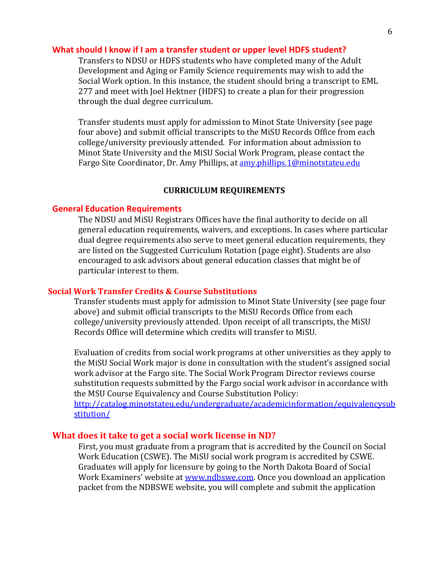#### <span id="page-5-0"></span>**What should I know if I am a transfer student or upper level HDFS student?**

Transfers to NDSU or HDFS students who have completed many of the Adult Development and Aging or Family Science requirements may wish to add the Social Work option. In this instance, the student should bring a transcript to EML 277 and meet with Joel Hektner (HDFS) to create a plan for their progression through the dual degree curriculum.

Transfer students must apply for admission to Minot State University (see page four above) and submit official transcripts to the MiSU Records Office from each college/university previously attended. For information about admission to Minot State University and the MiSU Social Work Program, please contact the Fargo Site Coordinator, Dr. Amy Phillips, at [amy.phillips.1@minotstateu.edu](mailto:amy.phillips.1@minotstateu.edu)

#### **CURRICULUM REQUIREMENTS**

#### <span id="page-5-2"></span><span id="page-5-1"></span>**General Education Requirements**

The NDSU and MiSU Registrars Offices have the final authority to decide on all general education requirements, waivers, and exceptions. In cases where particular dual degree requirements also serve to meet general education requirements, they are listed on the Suggested Curriculum Rotation (page eight). Students are also encouraged to ask advisors about general education classes that might be of particular interest to them.

#### **Social Work Transfer Credits & Course Substitutions**

Transfer students must apply for admission to Minot State University (see page four above) and submit official transcripts to the MiSU Records Office from each college/university previously attended. Upon receipt of all transcripts, the MiSU Records Office will determine which credits will transfer to MiSU.

Evaluation of credits from social work programs at other universities as they apply to the MiSU Social Work major is done in consultation with the student's assigned social work advisor at the Fargo site. The Social Work Program Director reviews course substitution requests submitted by the Fargo social work advisor in accordance with the MSU Course Equivalency and Course Substitution Policy:

[http://catalog.minotstateu.edu/undergraduate/academicinformation/equivalencysub](http://catalog.minotstateu.edu/undergraduate/academicinformation/equivalencysubstitution/) [stitution/](http://catalog.minotstateu.edu/undergraduate/academicinformation/equivalencysubstitution/)

#### **What does it take to get a social work license in ND?**

First, you must graduate from a program that is accredited by the Council on Social Work Education (CSWE). The MiSU social work program is accredited by CSWE. Graduates will apply for licensure by going to the North Dakota Board of Social Work Examiners' website at [www.ndbswe.com.](http://www.ndbswe.com/) Once you download an application packet from the NDBSWE website, you will complete and submit the application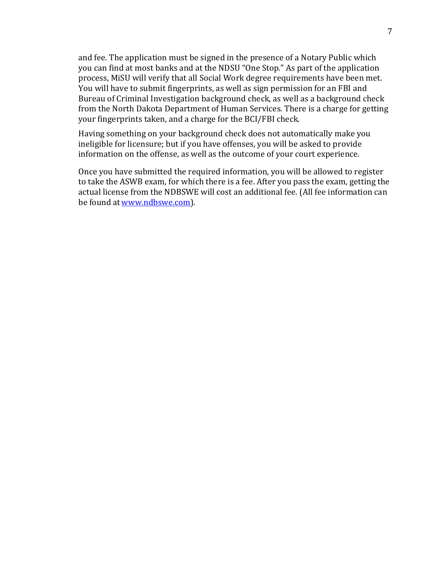and fee. The application must be signed in the presence of a Notary Public which you can find at most banks and at the NDSU "One Stop." As part of the application process, MiSU will verify that all Social Work degree requirements have been met. You will have to submit fingerprints, as well as sign permission for an FBI and Bureau of Criminal Investigation background check, as well as a background check from the North Dakota Department of Human Services. There is a charge for getting your fingerprints taken, and a charge for the BCI/FBI check.

Having something on your background check does not automatically make you ineligible for licensure; but if you have offenses, you will be asked to provide information on the offense, as well as the outcome of your court experience.

Once you have submitted the required information, you will be allowed to register to take the ASWB exam, for which there is a fee. After you pass the exam, getting the actual license from the NDBSWE will cost an additional fee. (All fee information can be found atwww.ndbswe.com).